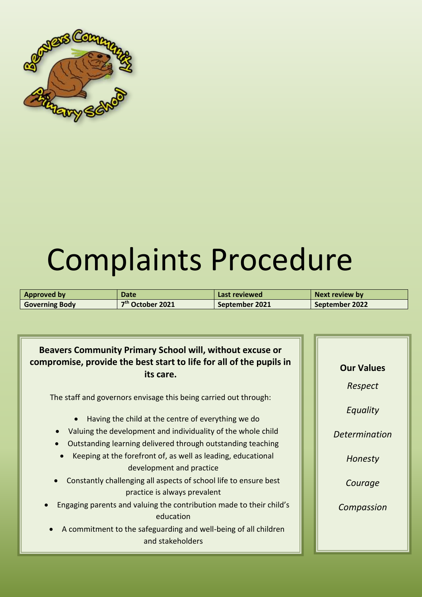

| <b>Approved by</b>    | Date                         | Last reviewed  | Next review by |
|-----------------------|------------------------------|----------------|----------------|
| <b>Governing Body</b> | 7 <sup>th</sup> October 2021 | September 2021 | September 2022 |

# **Beavers Community Primary School will, without excuse or compromise, provide the best start to life for all of the pupils in its care.**

The staff and governors envisage this being carried out through:

- Having the child at the centre of everything we do
- Valuing the development and individuality of the whole child
- Outstanding learning delivered through outstanding teaching
- Keeping at the forefront of, as well as leading, educational development and practice
- Constantly challenging all aspects of school life to ensure best practice is always prevalent
- Engaging parents and valuing the contribution made to their child's education
- A commitment to the safeguarding and well-being of all children and stakeholders

**Our Values** *Respect Equality Determination Honesty Courage Compassion*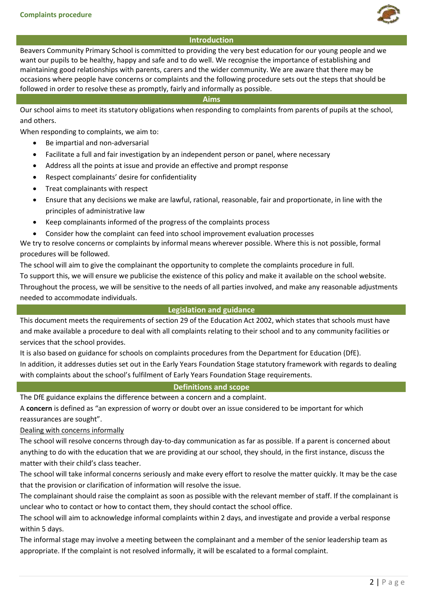

### **Introduction**

Beavers Community Primary School is committed to providing the very best education for our young people and we want our pupils to be healthy, happy and safe and to do well. We recognise the importance of establishing and maintaining good relationships with parents, carers and the wider community. We are aware that there may be occasions where people have concerns or complaints and the following procedure sets out the steps that should be followed in order to resolve these as promptly, fairly and informally as possible.

#### **Aims**

Our school aims to meet its statutory obligations when responding to complaints from parents of pupils at the school, and others.

When responding to complaints, we aim to:

- Be impartial and non-adversarial
- Facilitate a full and fair investigation by an independent person or panel, where necessary
- Address all the points at issue and provide an effective and prompt response
- Respect complainants' desire for confidentiality
- Treat complainants with respect
- Ensure that any decisions we make are lawful, rational, reasonable, fair and proportionate, in line with the principles of administrative law
- Keep complainants informed of the progress of the complaints process
- Consider how the complaint can feed into school improvement evaluation processes

We try to resolve concerns or complaints by informal means wherever possible. Where this is not possible, formal procedures will be followed.

The school will aim to give the complainant the opportunity to complete the complaints procedure in full.

To support this, we will ensure we publicise the existence of this policy and make it available on the school website. Throughout the process, we will be sensitive to the needs of all parties involved, and make any reasonable adjustments needed to accommodate individuals.

#### **Legislation and guidance**

This document meets the requirements of section 29 of the Education Act 2002, which states that schools must have and make available a procedure to deal with all complaints relating to their school and to any community facilities or services that the school provides.

It is also based on guidance for schools on complaints procedures from the Department for Education (DfE). In addition, it addresses duties set out in the Early Years Foundation Stage statutory framework with regards to dealing with complaints about the school's fulfilment of Early Years Foundation Stage requirements.

# **Definitions and scope**

The DfE guidance explains the difference between a concern and a complaint.

A **concern** is defined as "an expression of worry or doubt over an issue considered to be important for which reassurances are sought".

Dealing with concerns informally

The school will resolve concerns through day-to-day communication as far as possible. If a parent is concerned about anything to do with the education that we are providing at our school, they should, in the first instance, discuss the matter with their child's class teacher.

The school will take informal concerns seriously and make every effort to resolve the matter quickly. It may be the case that the provision or clarification of information will resolve the issue.

The complainant should raise the complaint as soon as possible with the relevant member of staff. If the complainant is unclear who to contact or how to contact them, they should contact the school office.

The school will aim to acknowledge informal complaints within 2 days, and investigate and provide a verbal response within 5 days.

The informal stage may involve a meeting between the complainant and a member of the senior leadership team as appropriate. If the complaint is not resolved informally, it will be escalated to a formal complaint.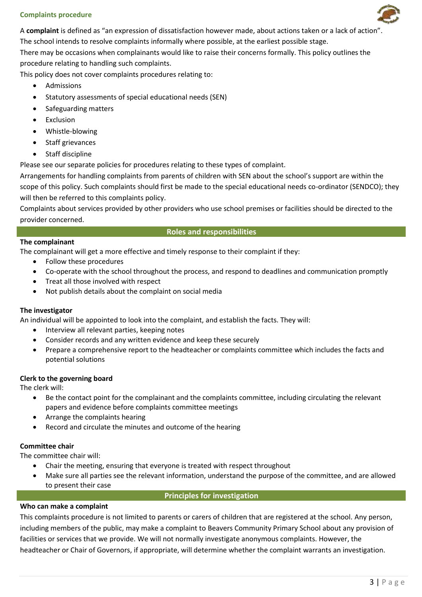A **complaint** is defined as "an expression of dissatisfaction however made, about actions taken or a lack of action".

The school intends to resolve complaints informally where possible, at the earliest possible stage.

There may be occasions when complainants would like to raise their concerns formally. This policy outlines the procedure relating to handling such complaints.

This policy does not cover complaints procedures relating to:

- Admissions
- Statutory assessments of special educational needs (SEN)
- Safeguarding matters
- Exclusion
- Whistle-blowing
- Staff grievances
- Staff discipline

Please see our separate policies for procedures relating to these types of complaint.

Arrangements for handling complaints from parents of children with SEN about the school's support are within the scope of this policy. Such complaints should first be made to the special educational needs co-ordinator (SENDCO); they will then be referred to this complaints policy.

Complaints about services provided by other providers who use school premises or facilities should be directed to the provider concerned.

# **Roles and responsibilities**

### **The complainant**

The complainant will get a more effective and timely response to their complaint if they:

- Follow these procedures
- Co-operate with the school throughout the process, and respond to deadlines and communication promptly
- Treat all those involved with respect
- Not publish details about the complaint on social media

# **The investigator**

An individual will be appointed to look into the complaint, and establish the facts. They will:

- Interview all relevant parties, keeping notes
- Consider records and any written evidence and keep these securely
- Prepare a comprehensive report to the headteacher or complaints committee which includes the facts and potential solutions

# **Clerk to the governing board**

The clerk will:

- Be the contact point for the complainant and the complaints committee, including circulating the relevant papers and evidence before complaints committee meetings
- Arrange the complaints hearing
- Record and circulate the minutes and outcome of the hearing

# **Committee chair**

The committee chair will:

- Chair the meeting, ensuring that everyone is treated with respect throughout
- Make sure all parties see the relevant information, understand the purpose of the committee, and are allowed to present their case

# **Principles for investigation**

# **Who can make a complaint**

This complaints procedure is not limited to parents or carers of children that are registered at the school. Any person, including members of the public, may make a complaint to Beavers Community Primary School about any provision of facilities or services that we provide. We will not normally investigate anonymous complaints. However, the headteacher or Chair of Governors, if appropriate, will determine whether the complaint warrants an investigation.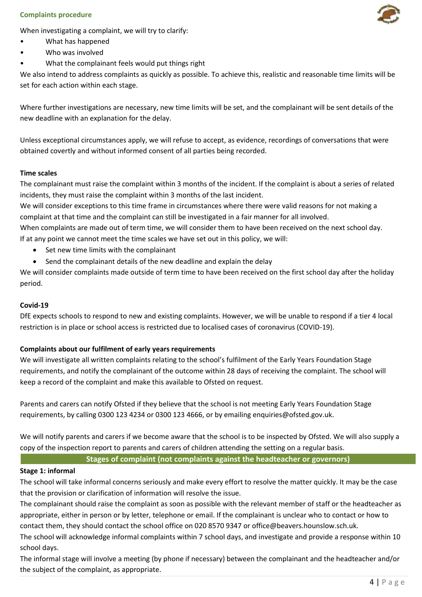When investigating a complaint, we will try to clarify:

- What has happened
- Who was involved
- What the complainant feels would put things right

We also intend to address complaints as quickly as possible. To achieve this, realistic and reasonable time limits will be set for each action within each stage.

Where further investigations are necessary, new time limits will be set, and the complainant will be sent details of the new deadline with an explanation for the delay.

Unless exceptional circumstances apply, we will refuse to accept, as evidence, recordings of conversations that were obtained covertly and without informed consent of all parties being recorded.

# **Time scales**

The complainant must raise the complaint within 3 months of the incident. If the complaint is about a series of related incidents, they must raise the complaint within 3 months of the last incident.

We will consider exceptions to this time frame in circumstances where there were valid reasons for not making a complaint at that time and the complaint can still be investigated in a fair manner for all involved.

When complaints are made out of term time, we will consider them to have been received on the next school day. If at any point we cannot meet the time scales we have set out in this policy, we will:

- Set new time limits with the complainant
- Send the complainant details of the new deadline and explain the delay

We will consider complaints made outside of term time to have been received on the first school day after the holiday period.

# **Covid-19**

DfE expects schools to respond to new and existing complaints. However, we will be unable to respond if a tier 4 local restriction is in place or school access is restricted due to localised cases of coronavirus (COVID-19).

# **Complaints about our fulfilment of early years requirements**

We will investigate all written complaints relating to the school's fulfilment of the Early Years Foundation Stage requirements, and notify the complainant of the outcome within 28 days of receiving the complaint. The school will keep a record of the complaint and make this available to Ofsted on request.

Parents and carers can notify Ofsted if they believe that the school is not meeting Early Years Foundation Stage requirements, by calling 0300 123 4234 or 0300 123 4666, or by emailing enquiries@ofsted.gov.uk.

We will notify parents and carers if we become aware that the school is to be inspected by Ofsted. We will also supply a copy of the inspection report to parents and carers of children attending the setting on a regular basis.

**Stages of complaint (not complaints against the headteacher or governors)**

# **Stage 1: informal**

The school will take informal concerns seriously and make every effort to resolve the matter quickly. It may be the case that the provision or clarification of information will resolve the issue.

The complainant should raise the complaint as soon as possible with the relevant member of staff or the headteacher as appropriate, either in person or by letter, telephone or email. If the complainant is unclear who to contact or how to contact them, they should contact the school office on 020 8570 9347 or office@beavers.hounslow.sch.uk.

The school will acknowledge informal complaints within 7 school days, and investigate and provide a response within 10 school days.

The informal stage will involve a meeting (by phone if necessary) between the complainant and the headteacher and/or the subject of the complaint, as appropriate.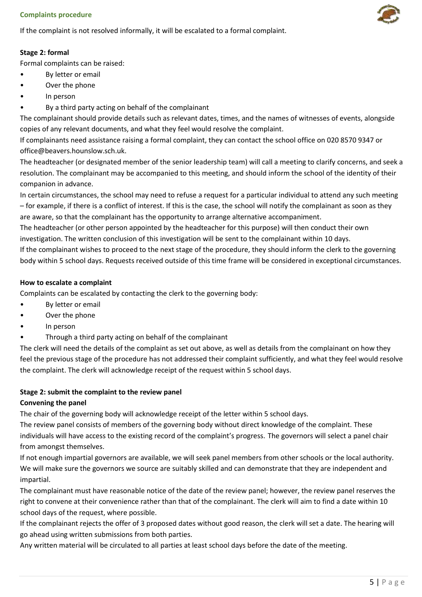If the complaint is not resolved informally, it will be escalated to a formal complaint.

# **Stage 2: formal**

Formal complaints can be raised:

- By letter or email
- Over the phone
- In person
- By a third party acting on behalf of the complainant

The complainant should provide details such as relevant dates, times, and the names of witnesses of events, alongside copies of any relevant documents, and what they feel would resolve the complaint.

If complainants need assistance raising a formal complaint, they can contact the school office on 020 8570 9347 or office@beavers.hounslow.sch.uk.

The headteacher (or designated member of the senior leadership team) will call a meeting to clarify concerns, and seek a resolution. The complainant may be accompanied to this meeting, and should inform the school of the identity of their companion in advance.

In certain circumstances, the school may need to refuse a request for a particular individual to attend any such meeting – for example, if there is a conflict of interest. If this is the case, the school will notify the complainant as soon as they are aware, so that the complainant has the opportunity to arrange alternative accompaniment.

The headteacher (or other person appointed by the headteacher for this purpose) will then conduct their own investigation. The written conclusion of this investigation will be sent to the complainant within 10 days.

If the complainant wishes to proceed to the next stage of the procedure, they should inform the clerk to the governing body within 5 school days. Requests received outside of this time frame will be considered in exceptional circumstances.

# **How to escalate a complaint**

Complaints can be escalated by contacting the clerk to the governing body:

- By letter or email
- Over the phone
- In person
- Through a third party acting on behalf of the complainant

The clerk will need the details of the complaint as set out above, as well as details from the complainant on how they feel the previous stage of the procedure has not addressed their complaint sufficiently, and what they feel would resolve the complaint. The clerk will acknowledge receipt of the request within 5 school days.

# **Stage 2: submit the complaint to the review panel**

# **Convening the panel**

The chair of the governing body will acknowledge receipt of the letter within 5 school days.

The review panel consists of members of the governing body without direct knowledge of the complaint. These individuals will have access to the existing record of the complaint's progress. The governors will select a panel chair from amongst themselves.

If not enough impartial governors are available, we will seek panel members from other schools or the local authority. We will make sure the governors we source are suitably skilled and can demonstrate that they are independent and impartial.

The complainant must have reasonable notice of the date of the review panel; however, the review panel reserves the right to convene at their convenience rather than that of the complainant. The clerk will aim to find a date within 10 school days of the request, where possible.

If the complainant rejects the offer of 3 proposed dates without good reason, the clerk will set a date. The hearing will go ahead using written submissions from both parties.

Any written material will be circulated to all parties at least school days before the date of the meeting.

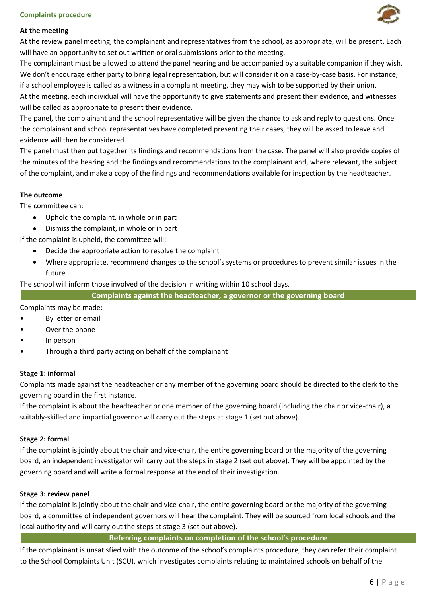# **At the meeting**

At the review panel meeting, the complainant and representatives from the school, as appropriate, will be present. Each will have an opportunity to set out written or oral submissions prior to the meeting.

The complainant must be allowed to attend the panel hearing and be accompanied by a suitable companion if they wish. We don't encourage either party to bring legal representation, but will consider it on a case-by-case basis. For instance, if a school employee is called as a witness in a complaint meeting, they may wish to be supported by their union. At the meeting, each individual will have the opportunity to give statements and present their evidence, and witnesses will be called as appropriate to present their evidence.

The panel, the complainant and the school representative will be given the chance to ask and reply to questions. Once the complainant and school representatives have completed presenting their cases, they will be asked to leave and evidence will then be considered.

The panel must then put together its findings and recommendations from the case. The panel will also provide copies of the minutes of the hearing and the findings and recommendations to the complainant and, where relevant, the subject of the complaint, and make a copy of the findings and recommendations available for inspection by the headteacher.

# **The outcome**

The committee can:

- Uphold the complaint, in whole or in part
- Dismiss the complaint, in whole or in part

If the complaint is upheld, the committee will:

- Decide the appropriate action to resolve the complaint
- Where appropriate, recommend changes to the school's systems or procedures to prevent similar issues in the future

The school will inform those involved of the decision in writing within 10 school days.

**Complaints against the headteacher, a governor or the governing board**

Complaints may be made:

- By letter or email
- Over the phone
- In person
- Through a third party acting on behalf of the complainant

# **Stage 1: informal**

Complaints made against the headteacher or any member of the governing board should be directed to the clerk to the governing board in the first instance.

If the complaint is about the headteacher or one member of the governing board (including the chair or vice-chair), a suitably-skilled and impartial governor will carry out the steps at stage 1 (set out above).

#### **Stage 2: formal**

If the complaint is jointly about the chair and vice-chair, the entire governing board or the majority of the governing board, an independent investigator will carry out the steps in stage 2 (set out above). They will be appointed by the governing board and will write a formal response at the end of their investigation.

# **Stage 3: review panel**

If the complaint is jointly about the chair and vice-chair, the entire governing board or the majority of the governing board, a committee of independent governors will hear the complaint. They will be sourced from local schools and the local authority and will carry out the steps at stage 3 (set out above).

**Referring complaints on completion of the school's procedure**

If the complainant is unsatisfied with the outcome of the school's complaints procedure, they can refer their complaint to the School Complaints Unit (SCU), which investigates complaints relating to maintained schools on behalf of the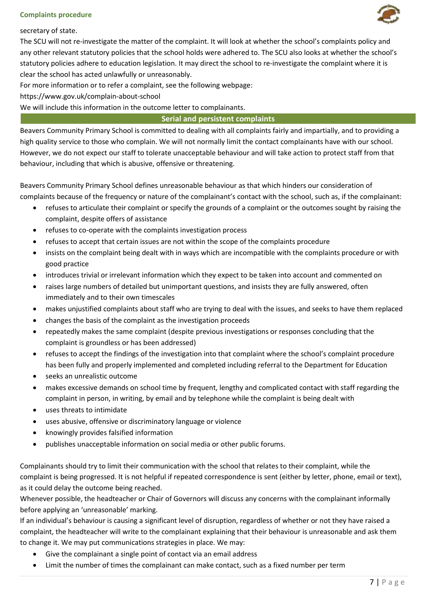



For more information or to refer a complaint, see the following webpage:

https://www.gov.uk/complain-about-school

We will include this information in the outcome letter to complainants.

#### **Serial and persistent complaints**

Beavers Community Primary School is committed to dealing with all complaints fairly and impartially, and to providing a high quality service to those who complain. We will not normally limit the contact complainants have with our school. However, we do not expect our staff to tolerate unacceptable behaviour and will take action to protect staff from that behaviour, including that which is abusive, offensive or threatening.

Beavers Community Primary School defines unreasonable behaviour as that which hinders our consideration of complaints because of the frequency or nature of the complainant's contact with the school, such as, if the complainant:

- refuses to articulate their complaint or specify the grounds of a complaint or the outcomes sought by raising the complaint, despite offers of assistance
- refuses to co-operate with the complaints investigation process
- refuses to accept that certain issues are not within the scope of the complaints procedure
- insists on the complaint being dealt with in ways which are incompatible with the complaints procedure or with good practice
- introduces trivial or irrelevant information which they expect to be taken into account and commented on
- raises large numbers of detailed but unimportant questions, and insists they are fully answered, often immediately and to their own timescales
- makes unjustified complaints about staff who are trying to deal with the issues, and seeks to have them replaced
- changes the basis of the complaint as the investigation proceeds
- repeatedly makes the same complaint (despite previous investigations or responses concluding that the complaint is groundless or has been addressed)
- refuses to accept the findings of the investigation into that complaint where the school's complaint procedure has been fully and properly implemented and completed including referral to the Department for Education
- seeks an unrealistic outcome
- makes excessive demands on school time by frequent, lengthy and complicated contact with staff regarding the complaint in person, in writing, by email and by telephone while the complaint is being dealt with
- uses threats to intimidate
- uses abusive, offensive or discriminatory language or violence
- knowingly provides falsified information
- publishes unacceptable information on social media or other public forums.

Complainants should try to limit their communication with the school that relates to their complaint, while the complaint is being progressed. It is not helpful if repeated correspondence is sent (either by letter, phone, email or text), as it could delay the outcome being reached.

Whenever possible, the headteacher or Chair of Governors will discuss any concerns with the complainant informally before applying an 'unreasonable' marking.

If an individual's behaviour is causing a significant level of disruption, regardless of whether or not they have raised a complaint, the headteacher will write to the complainant explaining that their behaviour is unreasonable and ask them to change it. We may put communications strategies in place. We may:

- Give the complainant a single point of contact via an email address
- Limit the number of times the complainant can make contact, such as a fixed number per term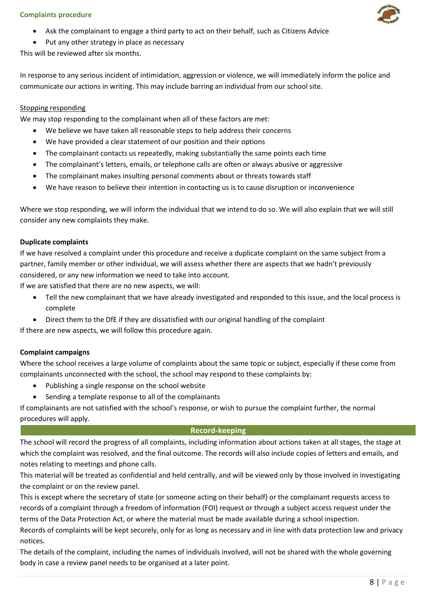- Ask the complainant to engage a third party to act on their behalf, such as Citizens Advice
- Put any other strategy in place as necessary

This will be reviewed after six months.

In response to any serious incident of intimidation, aggression or violence, we will immediately inform the police and communicate our actions in writing. This may include barring an individual from our school site.

# Stopping responding

We may stop responding to the complainant when all of these factors are met:

- We believe we have taken all reasonable steps to help address their concerns
- We have provided a clear statement of our position and their options
- The complainant contacts us repeatedly, making substantially the same points each time
- The complainant's letters, emails, or telephone calls are often or always abusive or aggressive
- The complainant makes insulting personal comments about or threats towards staff
- We have reason to believe their intention in contacting us is to cause disruption or inconvenience

Where we stop responding, we will inform the individual that we intend to do so. We will also explain that we will still consider any new complaints they make.

# **Duplicate complaints**

If we have resolved a complaint under this procedure and receive a duplicate complaint on the same subject from a partner, family member or other individual, we will assess whether there are aspects that we hadn't previously considered, or any new information we need to take into account.

If we are satisfied that there are no new aspects, we will:

- Tell the new complainant that we have already investigated and responded to this issue, and the local process is complete
- Direct them to the DfE if they are dissatisfied with our original handling of the complaint

If there are new aspects, we will follow this procedure again.

# **Complaint campaigns**

Where the school receives a large volume of complaints about the same topic or subject, especially if these come from complainants unconnected with the school, the school may respond to these complaints by:

- Publishing a single response on the school website
- Sending a template response to all of the complainants

If complainants are not satisfied with the school's response, or wish to pursue the complaint further, the normal procedures will apply.

# **Record-keeping Record-keeping**

The school will record the progress of all complaints, including information about actions taken at all stages, the stage at which the complaint was resolved, and the final outcome. The records will also include copies of letters and emails, and notes relating to meetings and phone calls.

This material will be treated as confidential and held centrally, and will be viewed only by those involved in investigating the complaint or on the review panel.

This is except where the secretary of state (or someone acting on their behalf) or the complainant requests access to records of a complaint through a freedom of information (FOI) request or through a subject access request under the terms of the Data Protection Act, or where the material must be made available during a school inspection.

Records of complaints will be kept securely, only for as long as necessary and in line with data protection law and privacy notices.

The details of the complaint, including the names of individuals involved, will not be shared with the whole governing body in case a review panel needs to be organised at a later point.

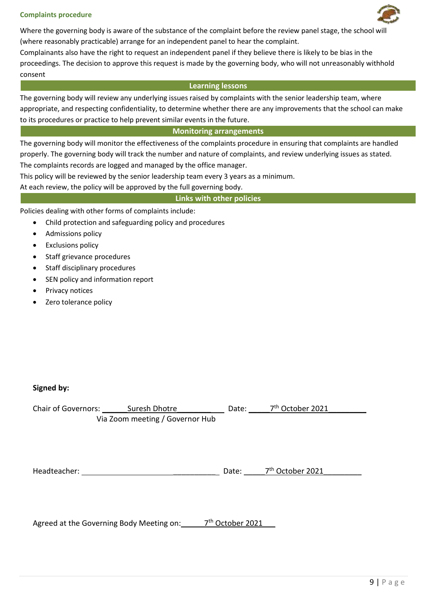

Where the governing body is aware of the substance of the complaint before the review panel stage, the school wi (where reasonably practicable) arrange for an independent panel to hear the complaint.

Complainants also have the right to request an independent panel if they believe there is likely to be bias in the proceedings. The decision to approve this request is made by the governing body, who will not unreasonably withhold consent

### **Learning lessons**

The governing body will review any underlying issues raised by complaints with the senior leadership team, where appropriate, and respecting confidentiality, to determine whether there are any improvements that the school can make to its procedures or practice to help prevent similar events in the future.

# **Monitoring arrangements**

The governing body will monitor the effectiveness of the complaints procedure in ensuring that complaints are handled properly. The governing body will track the number and nature of complaints, and review underlying issues as stated. The complaints records are logged and managed by the office manager.

This policy will be reviewed by the senior leadership team every 3 years as a minimum.

At each review, the policy will be approved by the full governing body.

### **Links with other policies**

Policies dealing with other forms of complaints include:

- Child protection and safeguarding policy and procedures
- Admissions policy
- Exclusions policy
- Staff grievance procedures
- Staff disciplinary procedures
- SEN policy and information report
- Privacy notices
- Zero tolerance policy

# **Signed by:**

| <b>Chair of Governors:</b> | Suresh Dhotre                   | Date: | 7 <sup>th</sup> October 2021 |  |
|----------------------------|---------------------------------|-------|------------------------------|--|
|                            | Via Zoom meeting / Governor Hub |       |                              |  |

Headteacher: \_\_\_\_\_\_\_\_\_\_ Date: \_\_\_\_\_7 th October 2021\_\_\_\_\_\_\_\_\_

Agreed at the Governing Body Meeting on: \_\_\_\_\_\_ 7<sup>th</sup> October 2021\_\_\_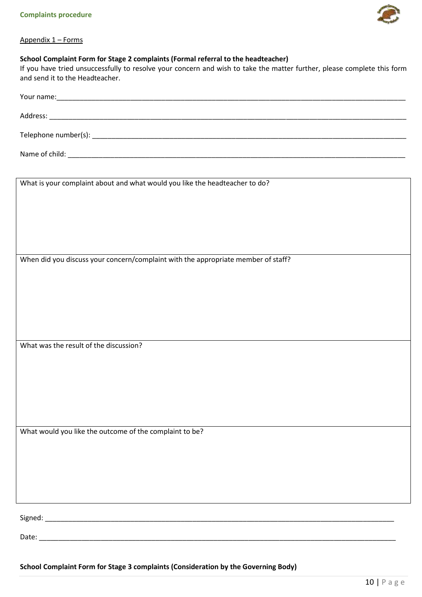

# Appendix 1 – Forms

# **School Complaint Form for Stage 2 complaints (Formal referral to the headteacher)**

If you have tried unsuccessfully to resolve your concern and wish to take the matter further, please complete this form and send it to the Headteacher.

| What is your complaint about and what would you like the headteacher to do?       |
|-----------------------------------------------------------------------------------|
|                                                                                   |
|                                                                                   |
|                                                                                   |
| When did you discuss your concern/complaint with the appropriate member of staff? |
|                                                                                   |
|                                                                                   |
|                                                                                   |
|                                                                                   |
| What was the result of the discussion?                                            |
|                                                                                   |
|                                                                                   |
|                                                                                   |
|                                                                                   |
| What would you like the outcome of the complaint to be?                           |
|                                                                                   |
|                                                                                   |
|                                                                                   |
|                                                                                   |
| Date:                                                                             |

**School Complaint Form for Stage 3 complaints (Consideration by the Governing Body)**